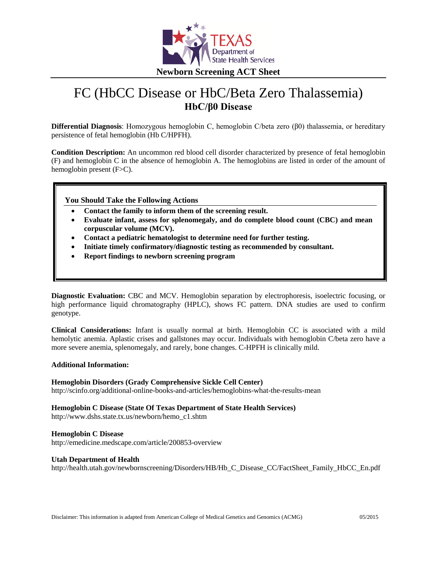

# FC (HbCC Disease or HbC/Beta Zero Thalassemia) **HbC/β0 Disease**

**Differential Diagnosis**: Homozygous hemoglobin C, hemoglobin C/beta zero (β0) thalassemia, or hereditary persistence of fetal hemoglobin (Hb C/HPFH).

**Condition Description:** An uncommon red blood cell disorder characterized by presence of fetal hemoglobin (F) and hemoglobin C in the absence of hemoglobin A. The hemoglobins are listed in order of the amount of hemoglobin present (F>C).

**You Should Take the Following Actions**

- **Contact the family to inform them of the screening result.**
- **Evaluate infant, assess for splenomegaly, and do complete blood count (CBC) and mean corpuscular volume (MCV).**
- **Contact a pediatric hematologist to determine need for further testing.**
- **Initiate timely confirmatory/diagnostic testing as recommended by consultant.**
- **Report findings to newborn screening program**

**Diagnostic Evaluation:** CBC and MCV. Hemoglobin separation by electrophoresis, isoelectric focusing, or high performance liquid chromatography (HPLC), shows FC pattern. DNA studies are used to confirm genotype.

**Clinical Considerations:** Infant is usually normal at birth. Hemoglobin CC is associated with a mild hemolytic anemia. Aplastic crises and gallstones may occur. Individuals with hemoglobin C/beta zero have a more severe anemia, splenomegaly, and rarely, bone changes. C-HPFH is clinically mild.

#### **Additional Information:**

#### **Hemoglobin Disorders (Grady Comprehensive Sickle Cell Center)** http://scinfo.org/additional-online-books-and-articles/hemoglobins-what-the-results-mean

**Hemoglobin C Disease (State Of Texas Department of State Health Services)**

http://www.dshs.state.tx.us/newborn/hemo\_c1.shtm

#### **Hemoglobin C Disease**

http://emedicine.medscape.com/article/200853-overview

#### **Utah Department of Health**

http://health.utah.gov/newbornscreening/Disorders/HB/Hb\_C\_Disease\_CC/FactSheet\_Family\_HbCC\_En.pdf